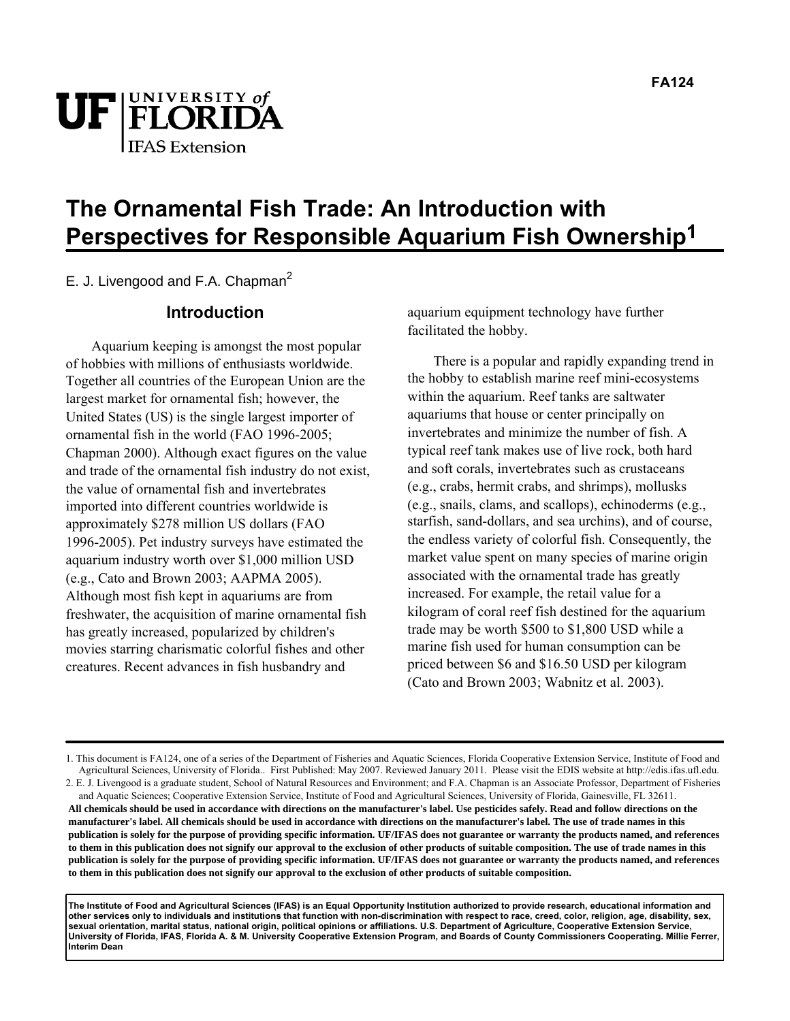



# **The Ornamental Fish Trade: An Introduction with Perspectives for Responsible Aquarium Fish Ownership1**

E. J. Livengood and F.A. Chapman $^2$ 

### **Introduction**

Aquarium keeping is amongst the most popular of hobbies with millions of enthusiasts worldwide. Together all countries of the European Union are the largest market for ornamental fish; however, the United States (US) is the single largest importer of ornamental fish in the world (FAO 1996-2005; Chapman 2000). Although exact figures on the value and trade of the ornamental fish industry do not exist, the value of ornamental fish and invertebrates imported into different countries worldwide is approximately \$278 million US dollars (FAO 1996-2005). Pet industry surveys have estimated the aquarium industry worth over \$1,000 million USD (e.g., Cato and Brown 2003; AAPMA 2005). Although most fish kept in aquariums are from freshwater, the acquisition of marine ornamental fish has greatly increased, popularized by children's movies starring charismatic colorful fishes and other creatures. Recent advances in fish husbandry and

aquarium equipment technology have further facilitated the hobby.

There is a popular and rapidly expanding trend in the hobby to establish marine reef mini-ecosystems within the aquarium. Reef tanks are saltwater aquariums that house or center principally on invertebrates and minimize the number of fish. A typical reef tank makes use of live rock, both hard and soft corals, invertebrates such as crustaceans (e.g., crabs, hermit crabs, and shrimps), mollusks (e.g., snails, clams, and scallops), echinoderms (e.g., starfish, sand-dollars, and sea urchins), and of course, the endless variety of colorful fish. Consequently, the market value spent on many species of marine origin associated with the ornamental trade has greatly increased. For example, the retail value for a kilogram of coral reef fish destined for the aquarium trade may be worth \$500 to \$1,800 USD while a marine fish used for human consumption can be priced between \$6 and \$16.50 USD per kilogram (Cato and Brown 2003; Wabnitz et al. 2003).

**The Institute of Food and Agricultural Sciences (IFAS) is an Equal Opportunity Institution authorized to provide research, educational information and other services only to individuals and institutions that function with non-discrimination with respect to race, creed, color, religion, age, disability, sex, sexual orientation, marital status, national origin, political opinions or affiliations. U.S. Department of Agriculture, Cooperative Extension Service, University of Florida, IFAS, Florida A. & M. University Cooperative Extension Program, and Boards of County Commissioners Cooperating. Millie Ferrer, Interim Dean**

<sup>1.</sup> This document is FA124, one of a series of the Department of Fisheries and Aquatic Sciences, Florida Cooperative Extension Service, Institute of Food and Agricultural Sciences, University of Florida.. First Published: May 2007. Reviewed January 2011. Please visit the EDIS website at http://edis.ifas.ufl.edu.

<sup>2.</sup> E. J. Livengood is a graduate student, School of Natural Resources and Environment; and F.A. Chapman is an Associate Professor, Department of Fisheries and Aquatic Sciences; Cooperative Extension Service, Institute of Food and Agricultural Sciences, University of Florida, Gainesville, FL 32611. **All chemicals should be used in accordance with directions on the manufacturer's label. Use pesticides safely. Read and follow directions on the manufacturer's label. All chemicals should be used in accordance with directions on the manufacturer's label. The use of trade names in this publication is solely for the purpose of providing specific information. UF/IFAS does not guarantee or warranty the products named, and references to them in this publication does not signify our approval to the exclusion of other products of suitable composition. The use of trade names in this publication is solely for the purpose of providing specific information. UF/IFAS does not guarantee or warranty the products named, and references to them in this publication does not signify our approval to the exclusion of other products of suitable composition.**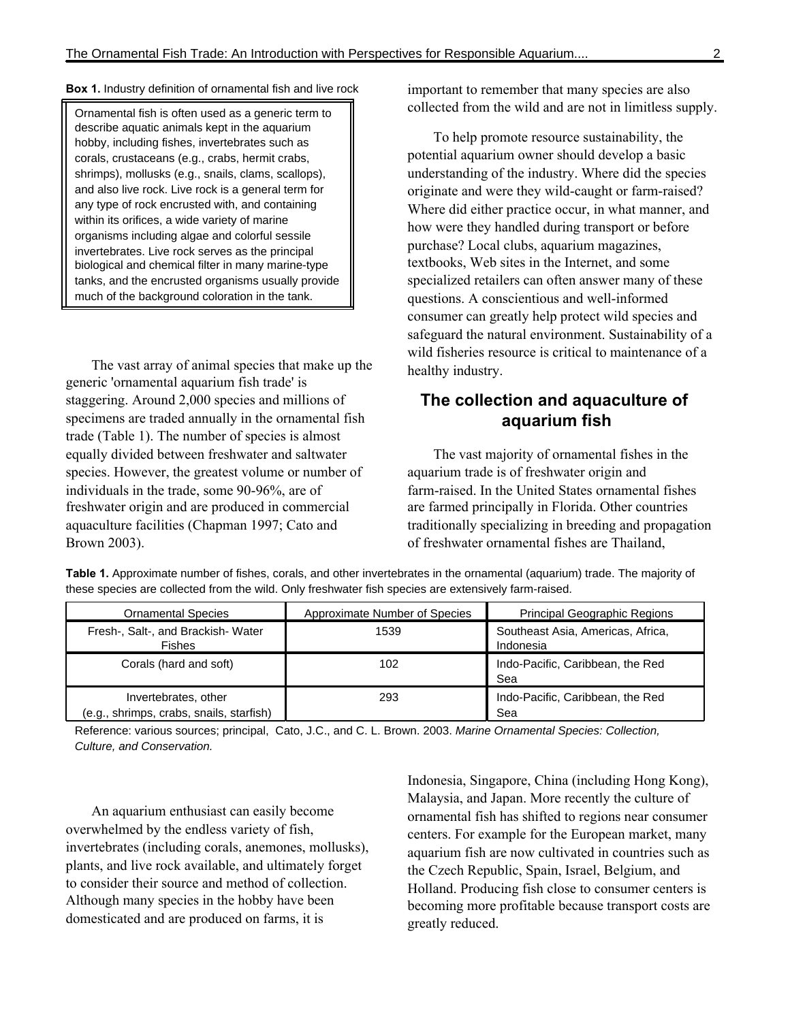#### **Box 1.** Industry definition of ornamental fish and live rock

Ornamental fish is often used as a generic term to describe aquatic animals kept in the aquarium hobby, including fishes, invertebrates such as corals, crustaceans (e.g., crabs, hermit crabs, shrimps), mollusks (e.g., snails, clams, scallops), and also live rock. Live rock is a general term for any type of rock encrusted with, and containing within its orifices, a wide variety of marine organisms including algae and colorful sessile invertebrates. Live rock serves as the principal biological and chemical filter in many marine-type tanks, and the encrusted organisms usually provide much of the background coloration in the tank.

The vast array of animal species that make up the generic 'ornamental aquarium fish trade' is staggering. Around 2,000 species and millions of specimens are traded annually in the ornamental fish trade (Table 1). The number of species is almost equally divided between freshwater and saltwater species. However, the greatest volume or number of individuals in the trade, some 90-96%, are of freshwater origin and are produced in commercial aquaculture facilities (Chapman 1997; Cato and Brown 2003).

important to remember that many species are also collected from the wild and are not in limitless supply.

To help promote resource sustainability, the potential aquarium owner should develop a basic understanding of the industry. Where did the species originate and were they wild-caught or farm-raised? Where did either practice occur, in what manner, and how were they handled during transport or before purchase? Local clubs, aquarium magazines, textbooks, Web sites in the Internet, and some specialized retailers can often answer many of these questions. A conscientious and well-informed consumer can greatly help protect wild species and safeguard the natural environment. Sustainability of a wild fisheries resource is critical to maintenance of a healthy industry.

### **The collection and aquaculture of aquarium fish**

The vast majority of ornamental fishes in the aquarium trade is of freshwater origin and farm-raised. In the United States ornamental fishes are farmed principally in Florida. Other countries traditionally specializing in breeding and propagation of freshwater ornamental fishes are Thailand,

**Table 1.** Approximate number of fishes, corals, and other invertebrates in the ornamental (aquarium) trade. The majority of these species are collected from the wild. Only freshwater fish species are extensively farm-raised.

| <b>Ornamental Species</b>                                        | Approximate Number of Species | <b>Principal Geographic Regions</b>            |
|------------------------------------------------------------------|-------------------------------|------------------------------------------------|
| Fresh-, Salt-, and Brackish-Water<br><b>Fishes</b>               | 1539                          | Southeast Asia, Americas, Africa,<br>Indonesia |
| Corals (hard and soft)                                           | 102                           | Indo-Pacific, Caribbean, the Red<br>Sea        |
| Invertebrates, other<br>(e.g., shrimps, crabs, snails, starfish) | 293                           | Indo-Pacific, Caribbean, the Red<br>Sea        |

Reference: various sources; principal, Cato, J.C., and C. L. Brown. 2003. Marine Ornamental Species: Collection, Culture, and Conservation.

An aquarium enthusiast can easily become overwhelmed by the endless variety of fish, invertebrates (including corals, anemones, mollusks), plants, and live rock available, and ultimately forget to consider their source and method of collection. Although many species in the hobby have been domesticated and are produced on farms, it is

Indonesia, Singapore, China (including Hong Kong), Malaysia, and Japan. More recently the culture of ornamental fish has shifted to regions near consumer centers. For example for the European market, many aquarium fish are now cultivated in countries such as the Czech Republic, Spain, Israel, Belgium, and Holland. Producing fish close to consumer centers is becoming more profitable because transport costs are greatly reduced.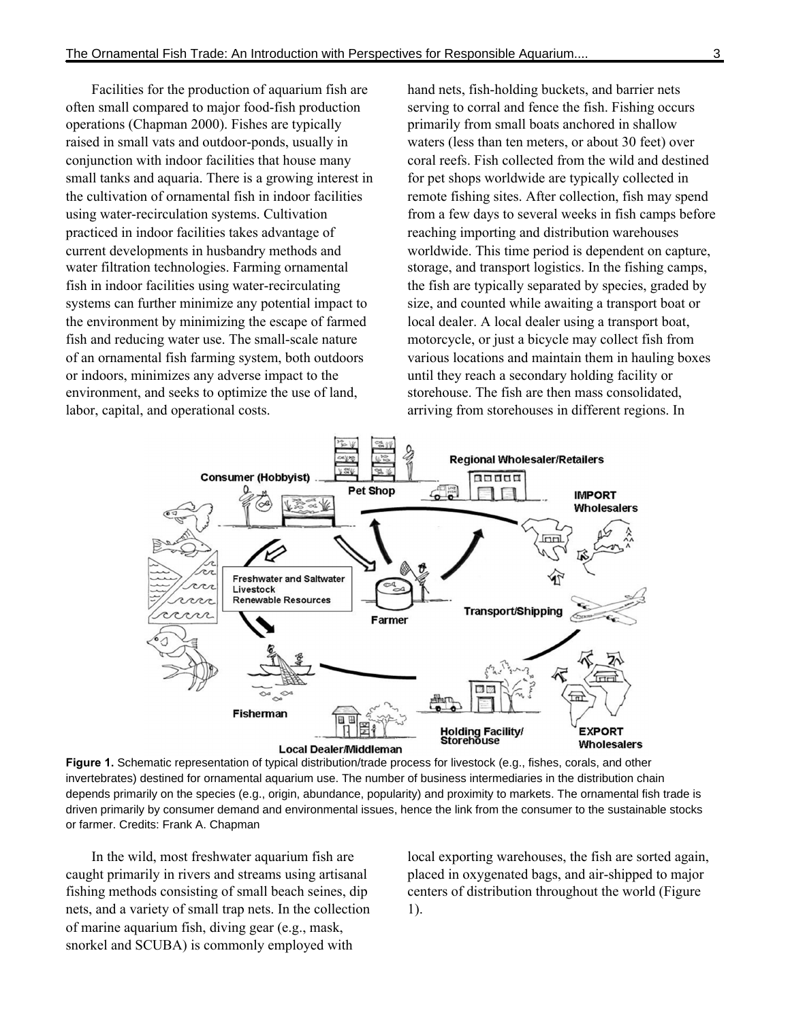Facilities for the production of aquarium fish are often small compared to major food-fish production operations (Chapman 2000). Fishes are typically raised in small vats and outdoor-ponds, usually in conjunction with indoor facilities that house many small tanks and aquaria. There is a growing interest in the cultivation of ornamental fish in indoor facilities using water-recirculation systems. Cultivation practiced in indoor facilities takes advantage of current developments in husbandry methods and water filtration technologies. Farming ornamental fish in indoor facilities using water-recirculating systems can further minimize any potential impact to the environment by minimizing the escape of farmed fish and reducing water use. The small-scale nature of an ornamental fish farming system, both outdoors or indoors, minimizes any adverse impact to the environment, and seeks to optimize the use of land, labor, capital, and operational costs.

hand nets, fish-holding buckets, and barrier nets serving to corral and fence the fish. Fishing occurs primarily from small boats anchored in shallow waters (less than ten meters, or about 30 feet) over coral reefs. Fish collected from the wild and destined for pet shops worldwide are typically collected in remote fishing sites. After collection, fish may spend from a few days to several weeks in fish camps before reaching importing and distribution warehouses worldwide. This time period is dependent on capture, storage, and transport logistics. In the fishing camps, the fish are typically separated by species, graded by size, and counted while awaiting a transport boat or local dealer. A local dealer using a transport boat, motorcycle, or just a bicycle may collect fish from various locations and maintain them in hauling boxes until they reach a secondary holding facility or storehouse. The fish are then mass consolidated, arriving from storehouses in different regions. In



**Figure 1.** Schematic representation of typical distribution/trade process for livestock (e.g., fishes, corals, and other invertebrates) destined for ornamental aquarium use. The number of business intermediaries in the distribution chain depends primarily on the species (e.g., origin, abundance, popularity) and proximity to markets. The ornamental fish trade is driven primarily by consumer demand and environmental issues, hence the link from the consumer to the sustainable stocks or farmer. Credits: Frank A. Chapman

In the wild, most freshwater aquarium fish are caught primarily in rivers and streams using artisanal fishing methods consisting of small beach seines, dip nets, and a variety of small trap nets. In the collection of marine aquarium fish, diving gear (e.g., mask, snorkel and SCUBA) is commonly employed with

local exporting warehouses, the fish are sorted again, placed in oxygenated bags, and air-shipped to major centers of distribution throughout the world (Figure 1).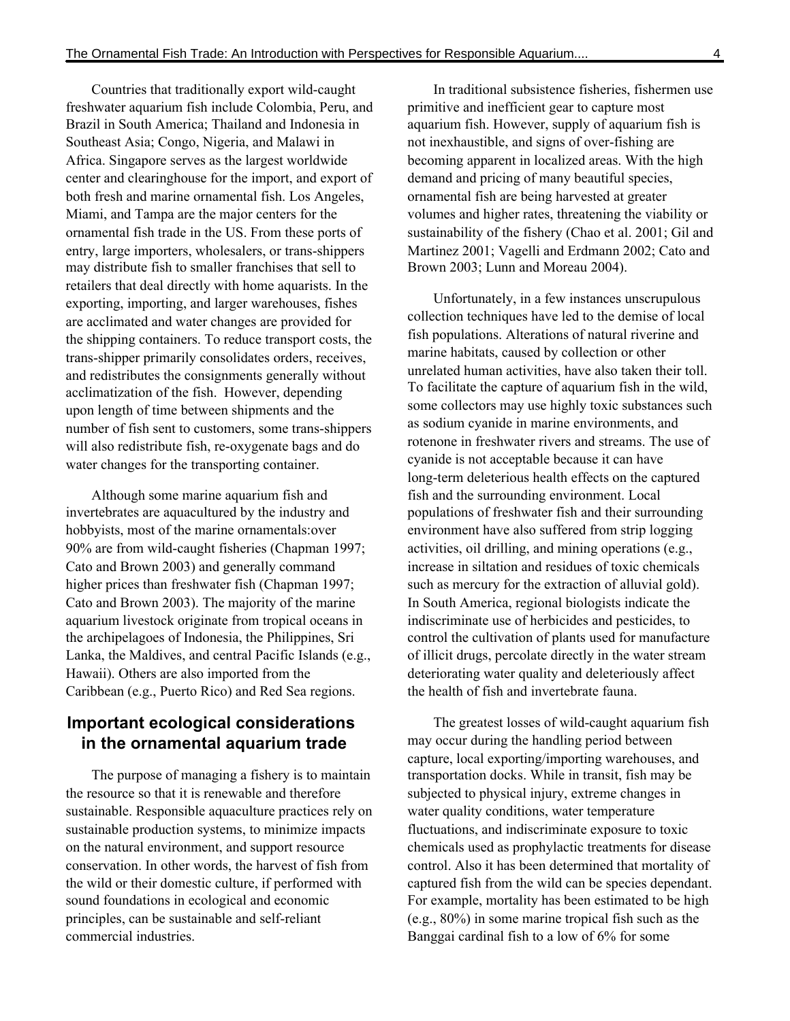Countries that traditionally export wild-caught freshwater aquarium fish include Colombia, Peru, and Brazil in South America; Thailand and Indonesia in Southeast Asia; Congo, Nigeria, and Malawi in Africa. Singapore serves as the largest worldwide center and clearinghouse for the import, and export of both fresh and marine ornamental fish. Los Angeles, Miami, and Tampa are the major centers for the ornamental fish trade in the US. From these ports of entry, large importers, wholesalers, or trans-shippers may distribute fish to smaller franchises that sell to retailers that deal directly with home aquarists. In the exporting, importing, and larger warehouses, fishes are acclimated and water changes are provided for the shipping containers. To reduce transport costs, the trans-shipper primarily consolidates orders, receives, and redistributes the consignments generally without acclimatization of the fish. However, depending upon length of time between shipments and the number of fish sent to customers, some trans-shippers will also redistribute fish, re-oxygenate bags and do water changes for the transporting container.

Although some marine aquarium fish and invertebrates are aquacultured by the industry and hobbyists, most of the marine ornamentals:over 90% are from wild-caught fisheries (Chapman 1997; Cato and Brown 2003) and generally command higher prices than freshwater fish (Chapman 1997; Cato and Brown 2003). The majority of the marine aquarium livestock originate from tropical oceans in the archipelagoes of Indonesia, the Philippines, Sri Lanka, the Maldives, and central Pacific Islands (e.g., Hawaii). Others are also imported from the Caribbean (e.g., Puerto Rico) and Red Sea regions.

## **Important ecological considerations in the ornamental aquarium trade**

The purpose of managing a fishery is to maintain the resource so that it is renewable and therefore sustainable. Responsible aquaculture practices rely on sustainable production systems, to minimize impacts on the natural environment, and support resource conservation. In other words, the harvest of fish from the wild or their domestic culture, if performed with sound foundations in ecological and economic principles, can be sustainable and self-reliant commercial industries.

In traditional subsistence fisheries, fishermen use primitive and inefficient gear to capture most aquarium fish. However, supply of aquarium fish is not inexhaustible, and signs of over-fishing are becoming apparent in localized areas. With the high demand and pricing of many beautiful species, ornamental fish are being harvested at greater volumes and higher rates, threatening the viability or sustainability of the fishery (Chao et al. 2001; Gil and Martinez 2001; Vagelli and Erdmann 2002; Cato and Brown 2003; Lunn and Moreau 2004).

Unfortunately, in a few instances unscrupulous collection techniques have led to the demise of local fish populations. Alterations of natural riverine and marine habitats, caused by collection or other unrelated human activities, have also taken their toll. To facilitate the capture of aquarium fish in the wild, some collectors may use highly toxic substances such as sodium cyanide in marine environments, and rotenone in freshwater rivers and streams. The use of cyanide is not acceptable because it can have long-term deleterious health effects on the captured fish and the surrounding environment. Local populations of freshwater fish and their surrounding environment have also suffered from strip logging activities, oil drilling, and mining operations (e.g., increase in siltation and residues of toxic chemicals such as mercury for the extraction of alluvial gold). In South America, regional biologists indicate the indiscriminate use of herbicides and pesticides, to control the cultivation of plants used for manufacture of illicit drugs, percolate directly in the water stream deteriorating water quality and deleteriously affect the health of fish and invertebrate fauna.

The greatest losses of wild-caught aquarium fish may occur during the handling period between capture, local exporting/importing warehouses, and transportation docks. While in transit, fish may be subjected to physical injury, extreme changes in water quality conditions, water temperature fluctuations, and indiscriminate exposure to toxic chemicals used as prophylactic treatments for disease control. Also it has been determined that mortality of captured fish from the wild can be species dependant. For example, mortality has been estimated to be high (e.g., 80%) in some marine tropical fish such as the Banggai cardinal fish to a low of 6% for some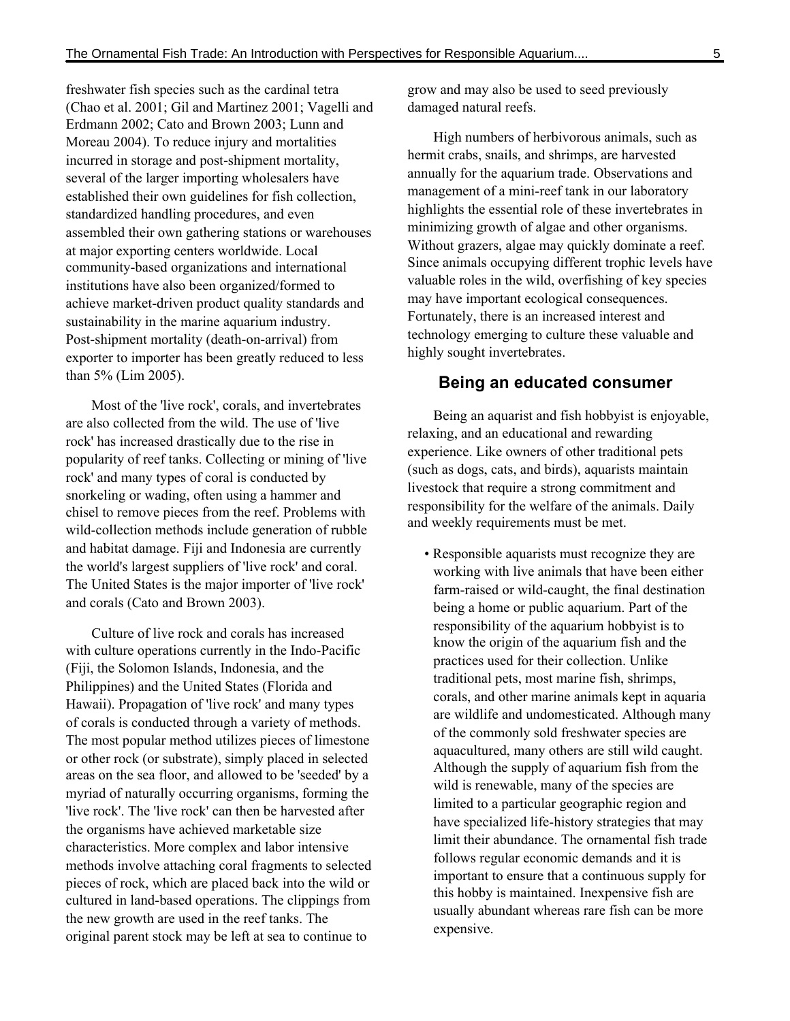freshwater fish species such as the cardinal tetra (Chao et al. 2001; Gil and Martinez 2001; Vagelli and Erdmann 2002; Cato and Brown 2003; Lunn and Moreau 2004). To reduce injury and mortalities incurred in storage and post-shipment mortality, several of the larger importing wholesalers have established their own guidelines for fish collection, standardized handling procedures, and even assembled their own gathering stations or warehouses at major exporting centers worldwide. Local community-based organizations and international institutions have also been organized/formed to achieve market-driven product quality standards and sustainability in the marine aquarium industry. Post-shipment mortality (death-on-arrival) from exporter to importer has been greatly reduced to less than 5% (Lim 2005).

Most of the 'live rock', corals, and invertebrates are also collected from the wild. The use of 'live rock' has increased drastically due to the rise in popularity of reef tanks. Collecting or mining of 'live rock' and many types of coral is conducted by snorkeling or wading, often using a hammer and chisel to remove pieces from the reef. Problems with wild-collection methods include generation of rubble and habitat damage. Fiji and Indonesia are currently the world's largest suppliers of 'live rock' and coral. The United States is the major importer of 'live rock' and corals (Cato and Brown 2003).

Culture of live rock and corals has increased with culture operations currently in the Indo-Pacific (Fiji, the Solomon Islands, Indonesia, and the Philippines) and the United States (Florida and Hawaii). Propagation of 'live rock' and many types of corals is conducted through a variety of methods. The most popular method utilizes pieces of limestone or other rock (or substrate), simply placed in selected areas on the sea floor, and allowed to be 'seeded' by a myriad of naturally occurring organisms, forming the 'live rock'. The 'live rock' can then be harvested after the organisms have achieved marketable size characteristics. More complex and labor intensive methods involve attaching coral fragments to selected pieces of rock, which are placed back into the wild or cultured in land-based operations. The clippings from the new growth are used in the reef tanks. The original parent stock may be left at sea to continue to

grow and may also be used to seed previously damaged natural reefs.

High numbers of herbivorous animals, such as hermit crabs, snails, and shrimps, are harvested annually for the aquarium trade. Observations and management of a mini-reef tank in our laboratory highlights the essential role of these invertebrates in minimizing growth of algae and other organisms. Without grazers, algae may quickly dominate a reef. Since animals occupying different trophic levels have valuable roles in the wild, overfishing of key species may have important ecological consequences. Fortunately, there is an increased interest and technology emerging to culture these valuable and highly sought invertebrates.

### **Being an educated consumer**

Being an aquarist and fish hobbyist is enjoyable, relaxing, and an educational and rewarding experience. Like owners of other traditional pets (such as dogs, cats, and birds), aquarists maintain livestock that require a strong commitment and responsibility for the welfare of the animals. Daily and weekly requirements must be met.

• Responsible aquarists must recognize they are working with live animals that have been either farm-raised or wild-caught, the final destination being a home or public aquarium. Part of the responsibility of the aquarium hobbyist is to know the origin of the aquarium fish and the practices used for their collection. Unlike traditional pets, most marine fish, shrimps, corals, and other marine animals kept in aquaria are wildlife and undomesticated. Although many of the commonly sold freshwater species are aquacultured, many others are still wild caught. Although the supply of aquarium fish from the wild is renewable, many of the species are limited to a particular geographic region and have specialized life-history strategies that may limit their abundance. The ornamental fish trade follows regular economic demands and it is important to ensure that a continuous supply for this hobby is maintained. Inexpensive fish are usually abundant whereas rare fish can be more expensive.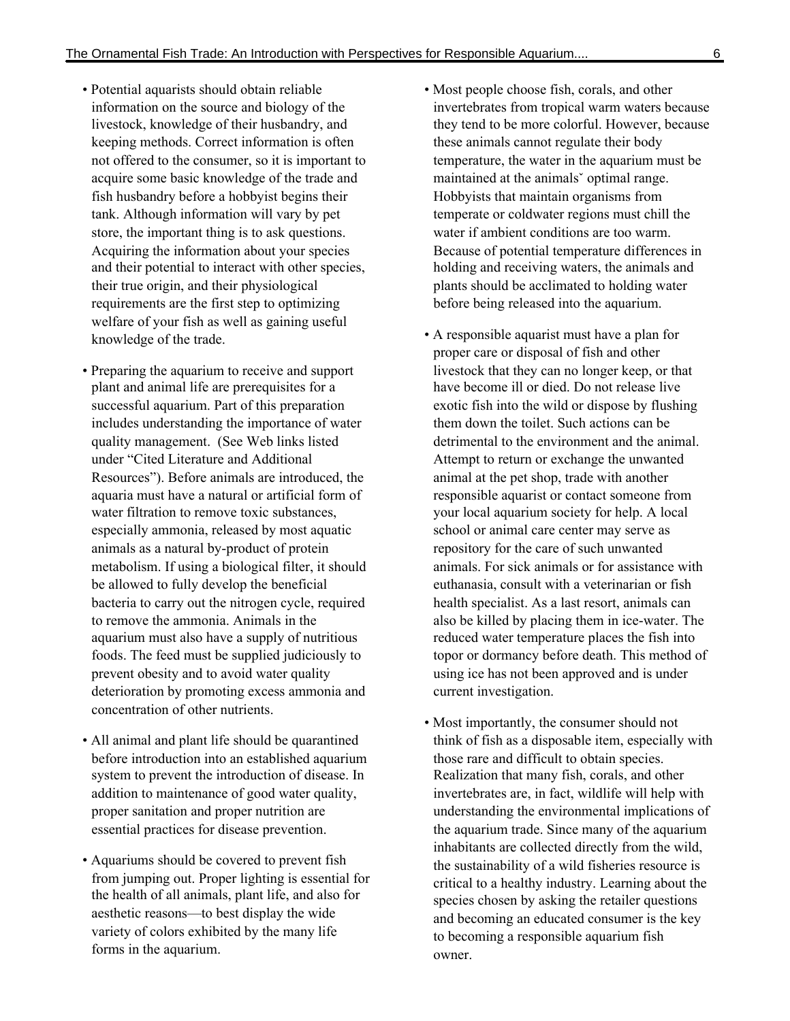- Potential aquarists should obtain reliable information on the source and biology of the livestock, knowledge of their husbandry, and keeping methods. Correct information is often not offered to the consumer, so it is important to acquire some basic knowledge of the trade and fish husbandry before a hobbyist begins their tank. Although information will vary by pet store, the important thing is to ask questions. Acquiring the information about your species and their potential to interact with other species, their true origin, and their physiological requirements are the first step to optimizing welfare of your fish as well as gaining useful knowledge of the trade.
- Preparing the aquarium to receive and support plant and animal life are prerequisites for a successful aquarium. Part of this preparation includes understanding the importance of water quality management. (See Web links listed under "Cited Literature and Additional Resources"). Before animals are introduced, the aquaria must have a natural or artificial form of water filtration to remove toxic substances, especially ammonia, released by most aquatic animals as a natural by-product of protein metabolism. If using a biological filter, it should be allowed to fully develop the beneficial bacteria to carry out the nitrogen cycle, required to remove the ammonia. Animals in the aquarium must also have a supply of nutritious foods. The feed must be supplied judiciously to prevent obesity and to avoid water quality deterioration by promoting excess ammonia and concentration of other nutrients.
- All animal and plant life should be quarantined before introduction into an established aquarium system to prevent the introduction of disease. In addition to maintenance of good water quality, proper sanitation and proper nutrition are essential practices for disease prevention.
- Aquariums should be covered to prevent fish from jumping out. Proper lighting is essential for the health of all animals, plant life, and also for aesthetic reasons—to best display the wide variety of colors exhibited by the many life forms in the aquarium.
- Most people choose fish, corals, and other invertebrates from tropical warm waters because they tend to be more colorful. However, because these animals cannot regulate their body temperature, the water in the aquarium must be maintained at the animals<sup>o</sup> optimal range. Hobbyists that maintain organisms from temperate or coldwater regions must chill the water if ambient conditions are too warm. Because of potential temperature differences in holding and receiving waters, the animals and plants should be acclimated to holding water before being released into the aquarium.
- A responsible aquarist must have a plan for proper care or disposal of fish and other livestock that they can no longer keep, or that have become ill or died. Do not release live exotic fish into the wild or dispose by flushing them down the toilet. Such actions can be detrimental to the environment and the animal. Attempt to return or exchange the unwanted animal at the pet shop, trade with another responsible aquarist or contact someone from your local aquarium society for help. A local school or animal care center may serve as repository for the care of such unwanted animals. For sick animals or for assistance with euthanasia, consult with a veterinarian or fish health specialist. As a last resort, animals can also be killed by placing them in ice-water. The reduced water temperature places the fish into topor or dormancy before death. This method of using ice has not been approved and is under current investigation.
- Most importantly, the consumer should not think of fish as a disposable item, especially with those rare and difficult to obtain species. Realization that many fish, corals, and other invertebrates are, in fact, wildlife will help with understanding the environmental implications of the aquarium trade. Since many of the aquarium inhabitants are collected directly from the wild, the sustainability of a wild fisheries resource is critical to a healthy industry. Learning about the species chosen by asking the retailer questions and becoming an educated consumer is the key to becoming a responsible aquarium fish owner.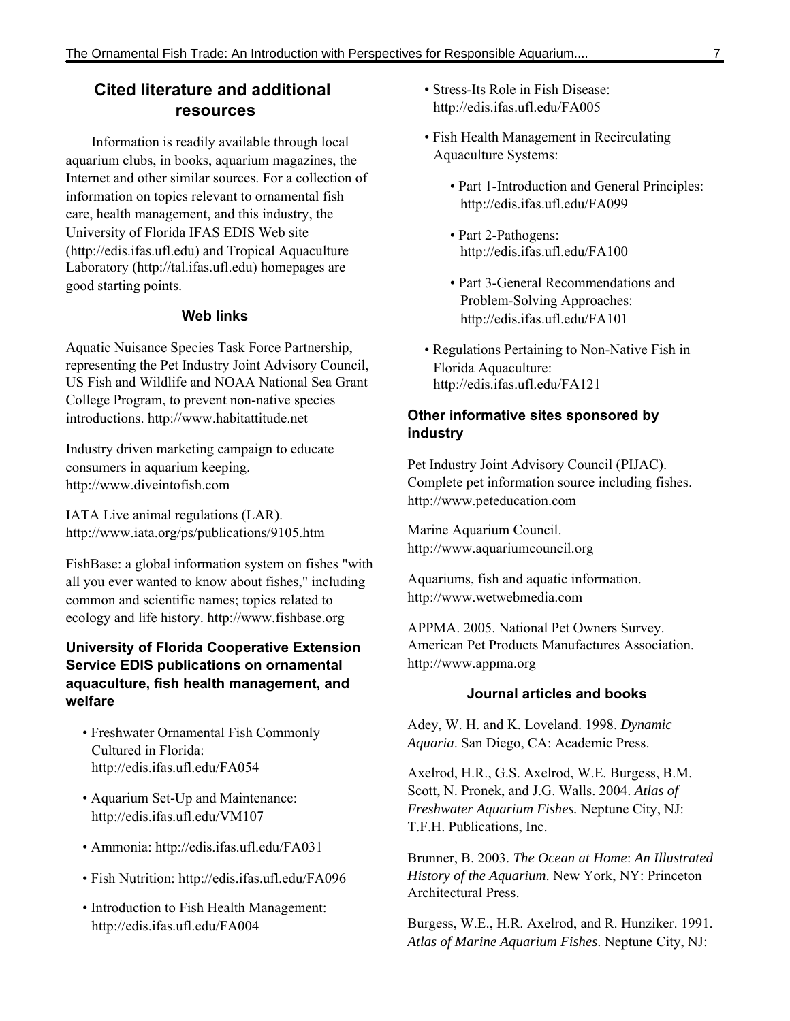## **Cited literature and additional resources**

Information is readily available through local aquarium clubs, in books, aquarium magazines, the Internet and other similar sources. For a collection of information on topics relevant to ornamental fish care, health management, and this industry, the University of Florida IFAS EDIS Web site (http://edis.ifas.ufl.edu) and Tropical Aquaculture Laboratory (http://tal.ifas.ufl.edu) homepages are good starting points.

### **Web links**

Aquatic Nuisance Species Task Force Partnership, representing the Pet Industry Joint Advisory Council, US Fish and Wildlife and NOAA National Sea Grant College Program, to prevent non-native species introductions. http://www.habitattitude.net

Industry driven marketing campaign to educate consumers in aquarium keeping. http://www.diveintofish.com

IATA Live animal regulations (LAR). http://www.iata.org/ps/publications/9105.htm

FishBase: a global information system on fishes "with all you ever wanted to know about fishes," including common and scientific names; topics related to ecology and life history. http://www.fishbase.org

### **University of Florida Cooperative Extension Service EDIS publications on ornamental aquaculture, fish health management, and welfare**

- Freshwater Ornamental Fish Commonly Cultured in Florida: http://edis.ifas.ufl.edu/FA054
- Aquarium Set-Up and Maintenance: http://edis.ifas.ufl.edu/VM107
- Ammonia: http://edis.ifas.ufl.edu/FA031
- Fish Nutrition: http://edis.ifas.ufl.edu/FA096
- Introduction to Fish Health Management: http://edis.ifas.ufl.edu/FA004
- Stress-Its Role in Fish Disease: http://edis.ifas.ufl.edu/FA005
- Fish Health Management in Recirculating Aquaculture Systems:
	- Part 1-Introduction and General Principles: http://edis.ifas.ufl.edu/FA099
	- Part 2-Pathogens: http://edis.ifas.ufl.edu/FA100
	- Part 3-General Recommendations and Problem-Solving Approaches: http://edis.ifas.ufl.edu/FA101
- Regulations Pertaining to Non-Native Fish in Florida Aquaculture: http://edis.ifas.ufl.edu/FA121

#### **Other informative sites sponsored by industry**

Pet Industry Joint Advisory Council (PIJAC). Complete pet information source including fishes. http://www.peteducation.com

Marine Aquarium Council. http://www.aquariumcouncil.org

Aquariums, fish and aquatic information. http://www.wetwebmedia.com

APPMA. 2005. National Pet Owners Survey. American Pet Products Manufactures Association. http://www.appma.org

#### **Journal articles and books**

Adey, W. H. and K. Loveland. 1998. *Dynamic Aquaria*. San Diego, CA: Academic Press.

Axelrod, H.R., G.S. Axelrod, W.E. Burgess, B.M. Scott, N. Pronek, and J.G. Walls. 2004. *Atlas of Freshwater Aquarium Fishes.* Neptune City, NJ: T.F.H. Publications, Inc.

Brunner, B. 2003. *The Ocean at Home*: *An Illustrated History of the Aquarium*. New York, NY: Princeton Architectural Press.

Burgess, W.E., H.R. Axelrod, and R. Hunziker. 1991. *Atlas of Marine Aquarium Fishes*. Neptune City, NJ: